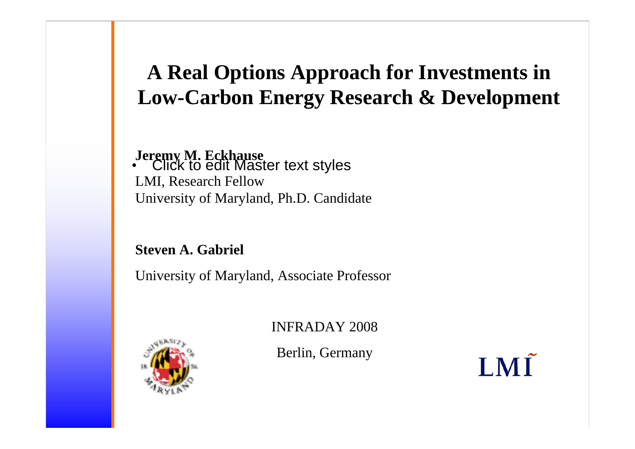## **A Real Options Approach for Investments in Low-Carbon Energy Research & Development**

#### • Click to edit Master text styles **Jeremy M. Eckhause** LMI, Research Fellow University of Maryland, Ph.D. Candidate

#### **Steven A. Gabriel**

University of Maryland, Associate Professor

INFRADAY 2008

Berlin, Germany

LMĨ

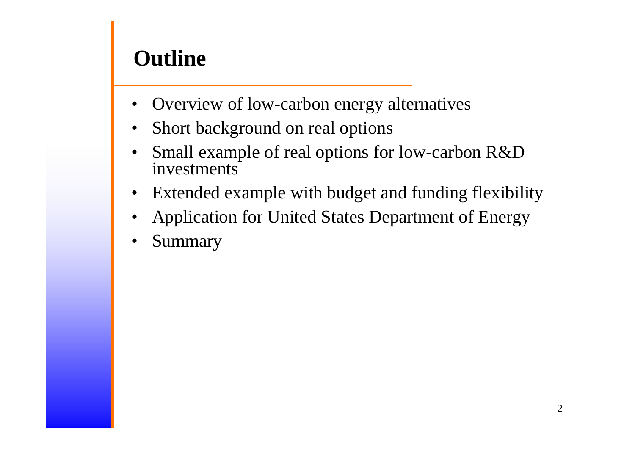## **Outline**

- Overview of low-carbon energy alternatives
- •Short background on real options
- • Small example of real options for low-carbon R&D investments
- $\bullet$ Extended example with budget and funding flexibility
- •Application for United States Department of Energy
- •Summary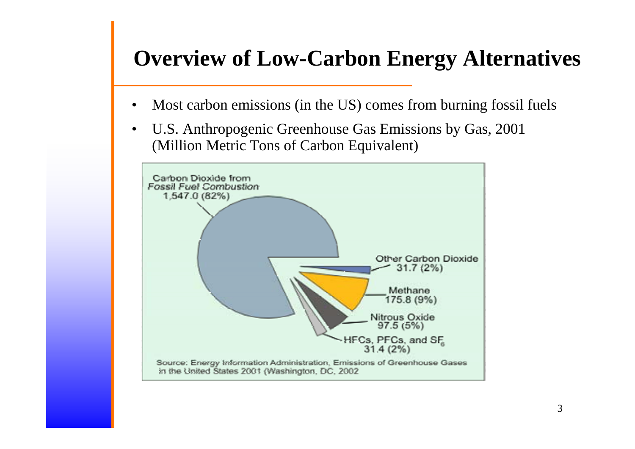- •Most carbon emissions (in the US) comes from burning fossil fuels
- $\bullet$  U.S. Anthropogenic Greenhouse Gas Emissions by Gas, 2001 (Million Metric Tons of Carbon Equivalent)

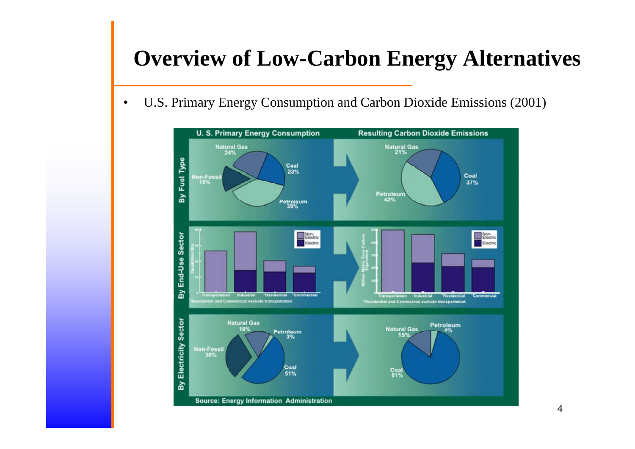$\bullet$ U.S. Primary Energy Consumption and Carbon Dioxide Emissions (2001)

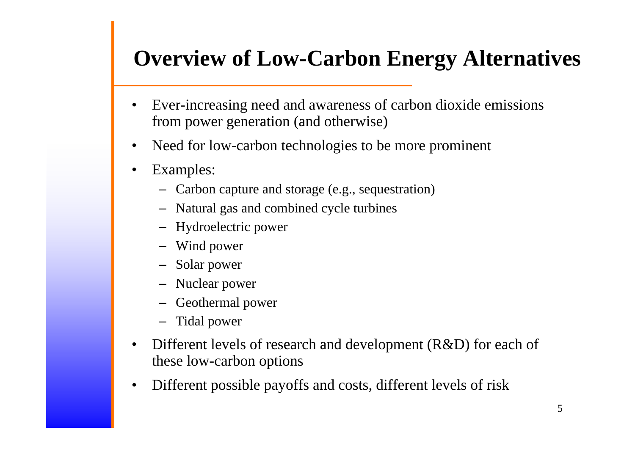- $\bullet$  Ever-increasing need and awareness of carbon dioxide emissions from power generation (and otherwise)
- •Need for low-carbon technologies to be more prominent
- • Examples:
	- Carbon capture and storage (e.g., sequestration)
	- Natural gas and combined cycle turbines
	- Hydroelectric power
	- Wind power
	- Solar power
	- Nuclear power
	- Geothermal power
	- Tidal power
- • Different levels of research and development (R&D) for each of these low-carbon options
- •Different possible payoffs and costs, different levels of risk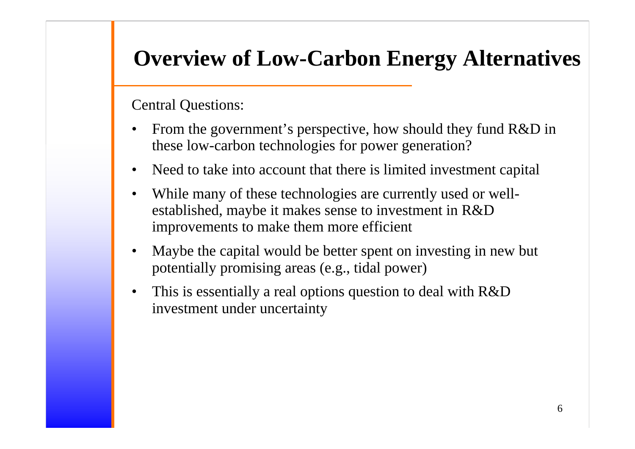Central Questions:

- • From the government's perspective, how should they fund R&D in these low-carbon technologies for power generation?
- •Need to take into account that there is limited investment capital
- • While many of these technologies are currently used or wellestablished, maybe it makes sense to investment in R&D improvements to make them more efficient
- • Maybe the capital would be better spent on investing in new but potentially promising areas (e.g., tidal power)
- $\bullet$  This is essentially a real options question to deal with R&D investment under uncertainty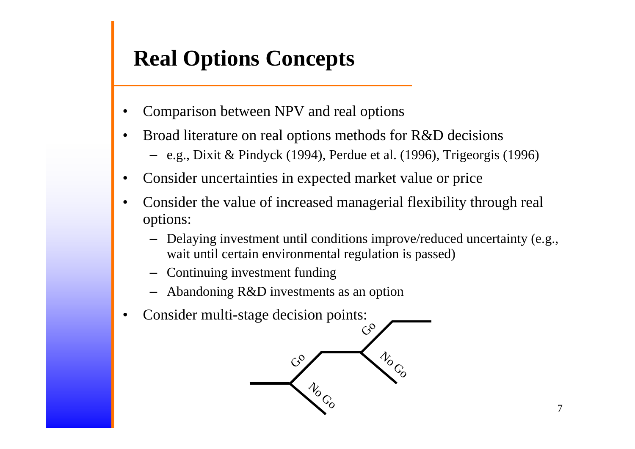## **Real Options Concepts**

- •Comparison between NPV and real options
- • Broad literature on real options methods for R&D decisions – e.g., Dixit & Pindyck (1994), Perdue et al. (1996), Trigeorgis (1996)
- •Consider uncertainties in expected market value or price
- • Consider the value of increased managerial flexibility through real options:
	- Delaying investment until conditions improve/reduced uncertainty (e.g., wait until certain environmental regulation is passed)
	- Continuing investment funding
	- Abandoning R&D investments as an option
- •Consider multi-stage decision points:

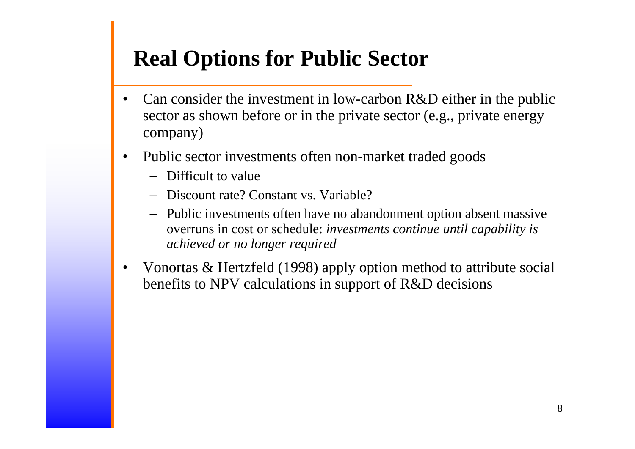## **Real Options for Public Sector**

- • Can consider the investment in low-carbon R&D either in the public sector as shown before or in the private sector (e.g., private energy company)
- • Public sector investments often non-market traded goods
	- Difficult to value
	- Discount rate? Constant vs. Variable?
	- Public investments often have no abandonment option absent massive overruns in cost or schedule: *investments continue until capability is achieved or no longer required*
- • Vonortas & Hertzfeld (1998) apply option method to attribute social benefits to NPV calculations in support of R&D decisions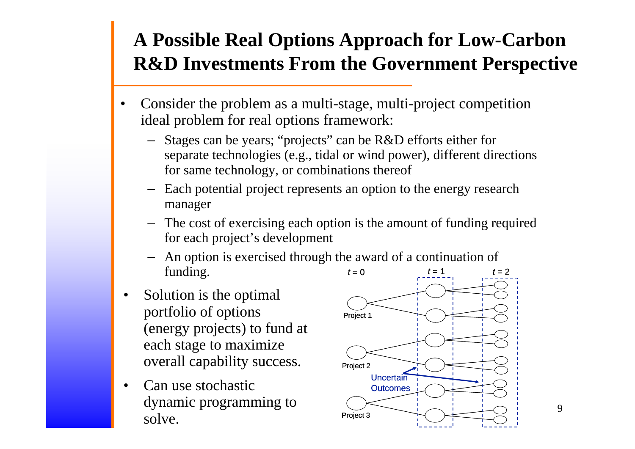## **A Possible Real Options Approach for Low-Carbon R&D Investments From the Government Perspective**

- • Consider the problem as a multi-stage, multi-project competition ideal problem for real options framework:
	- Stages can be years; "projects" can be R&D efforts either for separate technologies (e.g., tidal or wind power), different directions for same technology, or combinations thereof
	- Each potential project represents an option to the energy research manager
	- The cost of exercising each option is the amount of funding required for each project's development
	- An option is exercised through the award of a continuation of funding.  $t = 0$   $t = 1$
- • Solution is the optimal portfolio of options (energy projects) to fund at each stage to maximize overall capability success.
- • Can use stochastic dynamic programming to solve.



9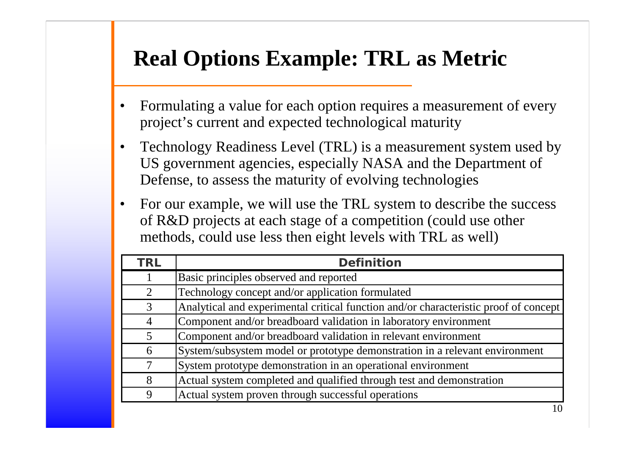## **Real Options Example: TRL as Metric**

- • Formulating a value for each option requires a measurement of every project's current and expected technological maturity
- • Technology Readiness Level (TRL) is a measurement system used by US government agencies, especially NASA and the Department of Defense, to assess the maturity of evolving technologies
- • For our example, we will use the TRL system to describe the success of R&D projects at each stage of a competition (could use other methods, could use less then eight levels with TRL as well)

| <b>TRL</b>     | <b>Definition</b>                                                                    |
|----------------|--------------------------------------------------------------------------------------|
|                | Basic principles observed and reported                                               |
| $\mathfrak{D}$ | Technology concept and/or application formulated                                     |
| 3              | Analytical and experimental critical function and/or characteristic proof of concept |
| $\overline{4}$ | Component and/or breadboard validation in laboratory environment                     |
| 5              | Component and/or breadboard validation in relevant environment                       |
| 6              | System/subsystem model or prototype demonstration in a relevant environment          |
| 7              | System prototype demonstration in an operational environment                         |
| 8              | Actual system completed and qualified through test and demonstration                 |
| 9              | Actual system proven through successful operations                                   |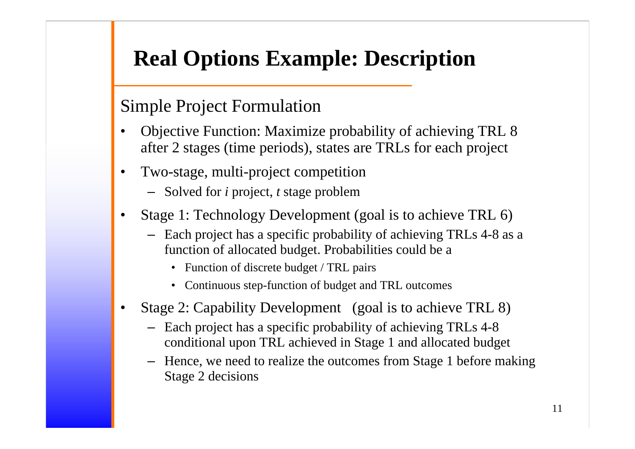## **Real Options Example: Description**

#### Simple Project Formulation

- • Objective Function: Maximize probability of achieving TRL 8 after 2 stages (time periods), states are TRLs for each project
- • Two-stage, multi-project competition
	- Solved for *i* project, *t* stage problem
- • Stage 1: Technology Development (goal is to achieve TRL 6)
	- Each project has a specific probability of achieving TRLs 4-8 as a function of allocated budget. Probabilities could be a
		- Function of discrete budget / TRL pairs
		- Continuous step-function of budget and TRL outcomes
- • Stage 2: Capability Development (goal is to achieve TRL 8)
	- Each project has a specific probability of achieving TRLs 4-8 conditional upon TRL achieved in Stage 1 and allocated budget
	- Hence, we need to realize the outcomes from Stage 1 before making Stage 2 decisions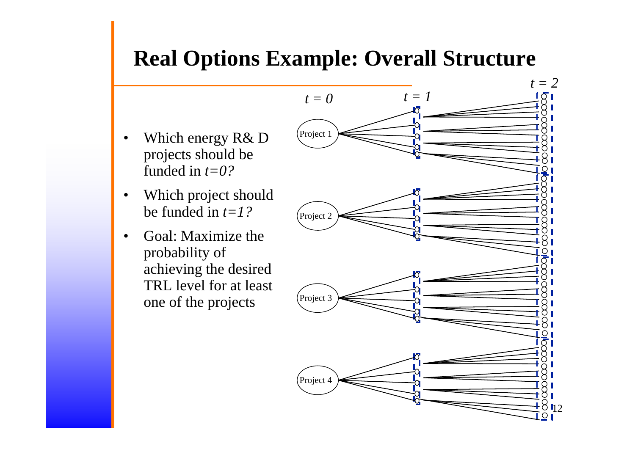## **Real Options Example: Overall Structure**

- $\bullet$  Which energy R& D projects should be funded in *t=0?*
- • Which project should be funded in *t=1?*
- • Goal: Maximize the probability of achieving the desired TRL level for at least one of the projects

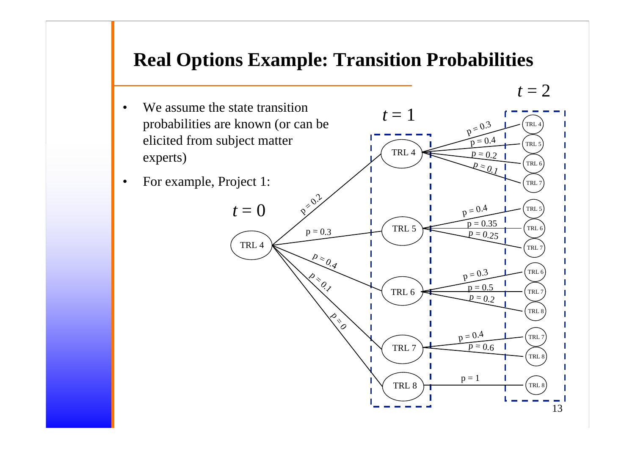#### **Real Options Example: Transition Probabilities**

 $t = 2$ 

•We assume the state transition probabilities are known (or can be elicited from subject matter experts)  $t = 1$ TRL 4 TRL 4 TRL 5 TRL 6 $p = \frac{0.3}{1}$  $p = 0.4$  $p = 0.2$ 

•For example, Project 1:

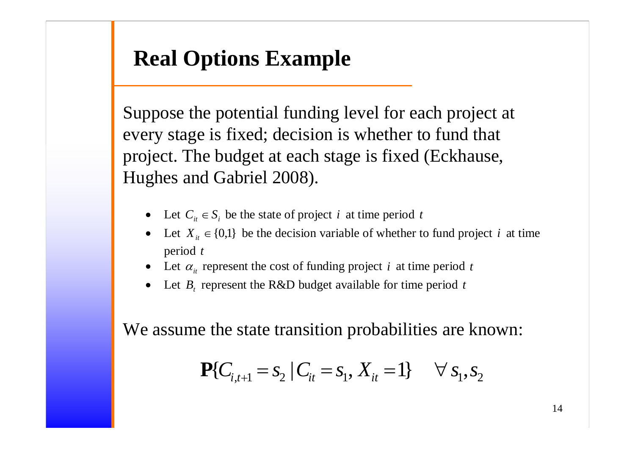## **Real Options Example**

Suppose the potential funding level for each project at every stage is fixed; decision is whether to fund that project. The budget at each stage is fixed (Eckhause, Hughes and Gabriel 2008).

- Let  $C_i \in S_i$  be the state of project *i* at time period *t*
- Let  $X_{it} \in \{0,1\}$  be the decision variable of whether to fund project *i* at time period *<sup>t</sup>*
- •• Let  $\alpha_i$  represent the cost of funding project *i* at time period *t*
- •• Let  $B_t$  represent the R&D budget available for time period t

We assume the state transition probabilities are known:

$$
\mathbf{P}\{C_{i,t+1} = S_2 \mid C_{it} = S_1, X_{it} = 1\} \quad \forall s_1, s_2
$$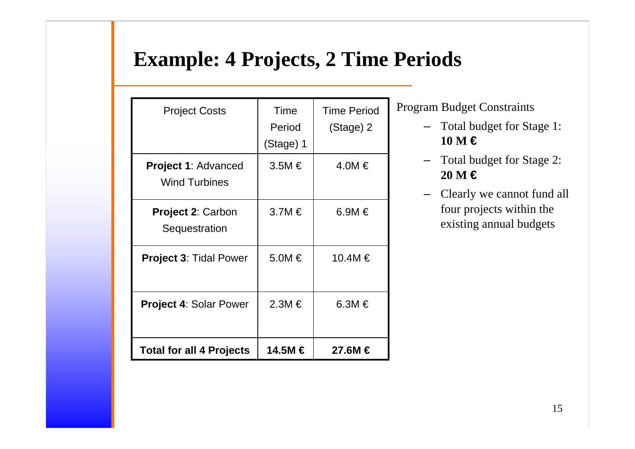### **Example: 4 Projects, 2 Time Periods**

| <b>Project Costs</b>                               | Time<br>Period<br>(Stage) 1 | <b>Time Period</b><br>(Stage) 2 |  |
|----------------------------------------------------|-----------------------------|---------------------------------|--|
| <b>Project 1: Advanced</b><br><b>Wind Turbines</b> | $3.5M \in$                  | $4.0M \in$                      |  |
| <b>Project 2: Carbon</b><br>Sequestration          | $3.7M \in$                  | 6.9M $\in$                      |  |
| <b>Project 3: Tidal Power</b>                      | $5.0M \in$                  | 10.4M €                         |  |
| <b>Project 4: Solar Power</b>                      | $2.3M \in$                  | 6.3M $\in$                      |  |
| <b>Total for all 4 Projects</b>                    | 14.5M €                     | 27.6M €                         |  |

Program Budget Constraints

- Total budget for Stage 1: **10 M €**
- Total budget for Stage 2: **20 M €**
- – Clearly we cannot fund all four projects within the existing annual budgets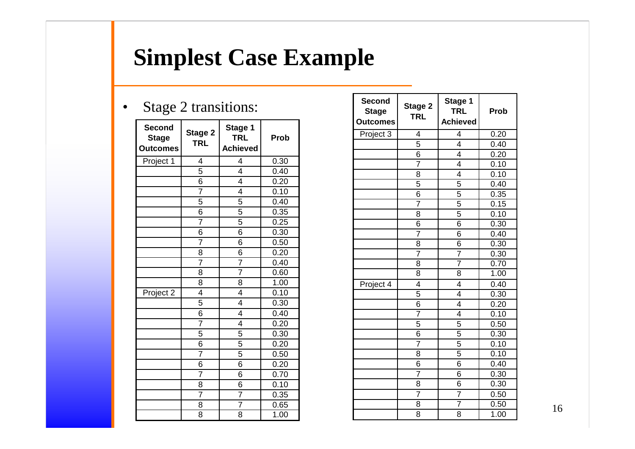# **Simplest Case Example**

#### $\bullet$ Stage 2 transitions:

| <b>Second</b><br><b>Stage</b><br><b>Outcomes</b> | Stage 2<br><b>TRL</b> | Stage 1<br><b>TRL</b><br><b>Achieved</b> | <b>Prob</b> |
|--------------------------------------------------|-----------------------|------------------------------------------|-------------|
| Project 1                                        | 4                     | 4                                        | 0.30        |
|                                                  | 5                     | 4                                        | 0.40        |
|                                                  | 6                     | 4                                        | 0.20        |
|                                                  | 7                     | 4                                        | 0.10        |
|                                                  | 5                     | 5                                        | 0.40        |
|                                                  | 6                     | 5                                        | 0.35        |
|                                                  | 7                     | 5                                        | 0.25        |
|                                                  | 6                     | 6                                        | 0.30        |
|                                                  | $\overline{7}$        | 6                                        | 0.50        |
|                                                  | 8                     | 6                                        | 0.20        |
|                                                  | $\overline{7}$        | $\overline{7}$                           | 0.40        |
|                                                  | 8                     | 7                                        | 0.60        |
|                                                  | 8                     | 8                                        | 1.00        |
| Project 2                                        | 4                     | 4                                        | 0.10        |
|                                                  | 5                     | $\overline{4}$                           | 0.30        |
|                                                  | 6                     | 4                                        | 0.40        |
|                                                  | $\overline{7}$        | $\overline{4}$                           | 0.20        |
|                                                  | 5                     | 5                                        | 0.30        |
|                                                  | 6                     | 5                                        | 0.20        |
|                                                  | $\overline{7}$        | $\overline{5}$                           | 0.50        |
|                                                  | 6                     | 6                                        | 0.20        |
|                                                  | $\overline{7}$        | 6                                        | 0.70        |
|                                                  | 8                     | 6                                        | 0.10        |
|                                                  | $\overline{7}$        | 7                                        | 0.35        |
|                                                  | 8                     | 7                                        | 0.65        |
|                                                  | 8                     | 8                                        | 1.00        |

| <b>Second</b><br><b>Stage</b><br><b>Outcomes</b> | Stage 2<br><b>TRL</b>   | Stage 1<br><b>TRL</b><br><b>Achieved</b> | <b>Prob</b> |  |
|--------------------------------------------------|-------------------------|------------------------------------------|-------------|--|
| Project 3                                        | $\overline{\mathbf{4}}$ | 4                                        | 0.20        |  |
|                                                  | 5                       | $\overline{4}$                           | 0.40        |  |
|                                                  | 6                       | $\overline{\mathcal{L}}$                 | 0.20        |  |
|                                                  | $\overline{7}$          | $\overline{4}$                           | 0.10        |  |
|                                                  | 8                       | 4                                        | 0.10        |  |
|                                                  | 5                       | 5                                        | 0.40        |  |
|                                                  | $\overline{6}$          | $\overline{5}$                           | 0.35        |  |
|                                                  | $\overline{7}$          | 5                                        | 0.15        |  |
|                                                  | 8                       | 5                                        | 0.10        |  |
|                                                  | 6                       | 6                                        | 0.30        |  |
|                                                  | $\overline{7}$          | 6                                        | 0.40        |  |
|                                                  | 8                       | 6                                        | 0.30        |  |
|                                                  | 7                       | 7                                        | 0.30        |  |
|                                                  | 8                       | $\overline{7}$                           | 0.70        |  |
|                                                  | 8                       | 8                                        | 1.00        |  |
| Project 4                                        | 4                       | 4                                        | 0.40        |  |
|                                                  | $\overline{5}$          | $\overline{4}$                           | 0.30        |  |
|                                                  | 6                       | $\overline{\mathcal{L}}$                 | 0.20        |  |
|                                                  | $\overline{7}$          | 4                                        | 0.10        |  |
|                                                  | 5                       | 5                                        | 0.50        |  |
|                                                  | 6                       | $\overline{5}$                           | 0.30        |  |
|                                                  | $\overline{7}$          | $\overline{5}$                           | 0.10        |  |
|                                                  | 8                       | 5                                        | 0.10        |  |
|                                                  | 6                       | 6                                        | 0.40        |  |
|                                                  | $\overline{7}$          | 6                                        | 0.30        |  |
|                                                  | 8                       | 6                                        | 0.30        |  |
|                                                  | $\overline{7}$          | $\overline{7}$                           | 0.50        |  |
|                                                  | 8                       | $\overline{7}$                           | 0.50        |  |
|                                                  | 8                       | 8                                        | 1.00        |  |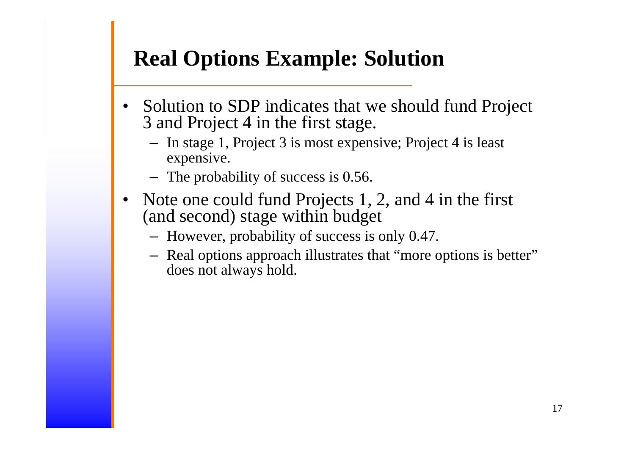## **Real Options Example: Solution**

- $\bullet$  Solution to SDP indicates that we should fund Project 3 and Project 4 in the first stage.
	- In stage 1, Project 3 is most expensive; Project 4 is least expensive.
	- The probability of success is 0.56.
- • Note one could fund Projects 1, 2, and 4 in the first (and second) stage within budget
	- However, probability of success is only 0.47.
	- Real options approach illustrates that "more options is better" does not always hold.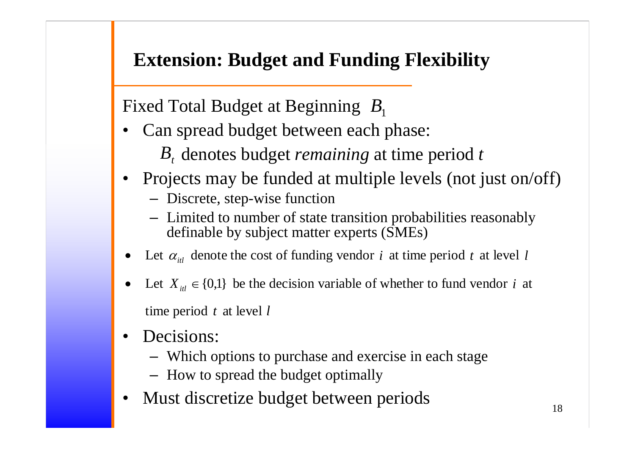### **Extension: Budget and Funding Flexibility**

Fixed Total Budget at Beginning B<sub>1</sub>

- • Can spread budget between each phase:
	- B<sub>t</sub> denotes budget *remaining* at time period t
- • Projects may be funded at multiple levels (not just on/off)
	- Discrete, step-wise function
	- Limited to number of state transition probabilities reasonably definable by subject matter experts (SMEs)
- •• Let  $\alpha_{it}$  denote the cost of funding vendor *i* at time period *t* at level *l*
- Let  $X_{it} \in \{0,1\}$  be the decision variable of whether to fund vendor *i* at time period *t* at level *l*
- • Decisions:
	- Which options to purchase and exercise in each stage
	- How to spread the budget optimally
- •Must discretize budget between periods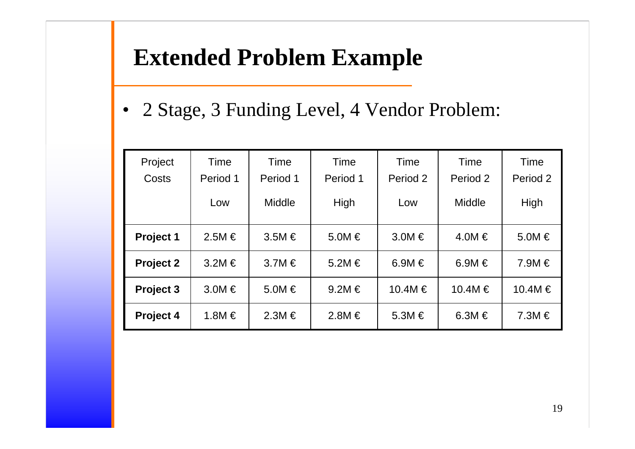## **Extended Problem Example**

• 2 Stage, 3 Funding Level, 4 Vendor Problem:

| Project          | Time       | Time          | Time       | Time       | Time          | Time       |
|------------------|------------|---------------|------------|------------|---------------|------------|
| Costs            | Period 1   | Period 1      | Period 1   | Period 2   | Period 2      | Period 2   |
|                  | Low        | <b>Middle</b> | High       | Low        | <b>Middle</b> | High       |
| Project 1        | $2.5M \in$ | $3.5M \in$    | $5.0M \in$ | $3.0M \in$ | $4.0M \in$    | $5.0M \in$ |
| <b>Project 2</b> | $3.2M \in$ | $3.7M \in$    | $5.2M \in$ | 6.9M $\in$ | 6.9M $\in$    | $7.9M \in$ |
| Project 3        | $3.0M \in$ | $5.0M \in$    | $9.2M \in$ | 10.4M €    | 10.4M €       | 10.4M €    |
| Project 4        | 1.8M $\in$ | $2.3M \in$    | $2.8M \in$ | $5.3M \in$ | 6.3M $\in$    | $7.3M \in$ |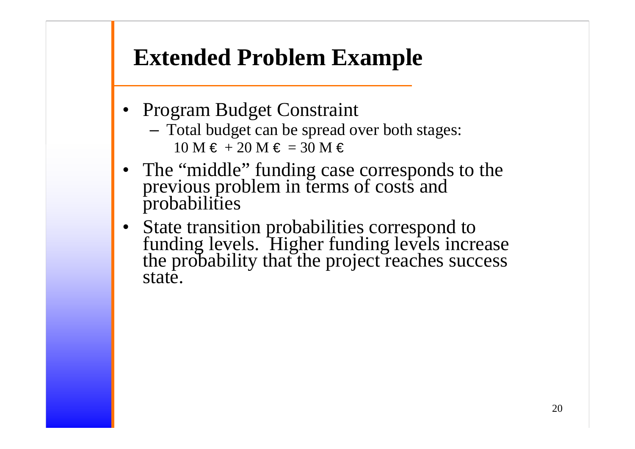# **Extended Problem Example**

- Program Budget Constraint
	- Total budget can be spread over both stages:  $10$  M  $\in$  + 20 M  $\in$  = 30 M  $\in$
- The "middle" funding case corresponds to the previous problem in terms of costs and probabilities
- $\bullet$  State transition probabilities correspond to funding levels. Higher funding levels increase the probability that the project reaches success state.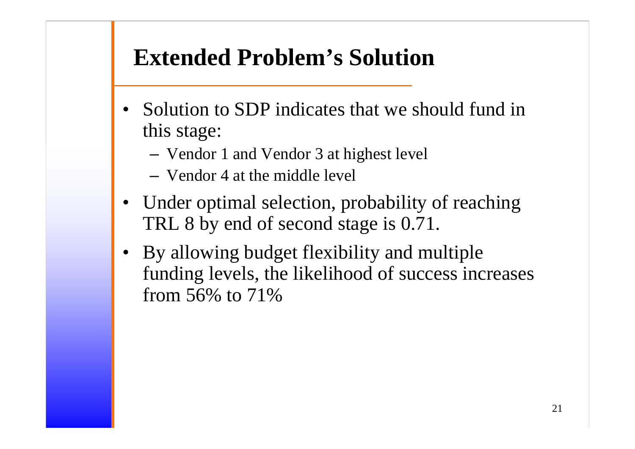# **Extended Problem's Solution**

- • Solution to SDP indicates that we should fund in this stage:
	- Vendor 1 and Vendor 3 at highest level
	- Vendor 4 at the middle level
- Under optimal selection, probability of reaching TRL 8 by end of second stage is 0.71.
- By allowing budget flexibility and multiple funding levels, the likelihood of success increases from 56% to 71%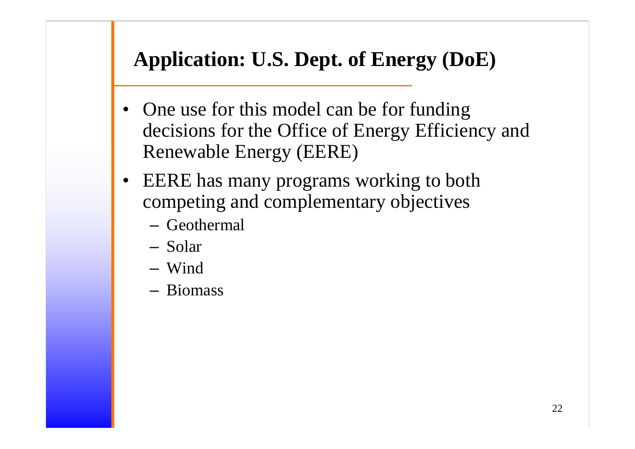## **Application: U.S. Dept. of Energy (DoE)**

- One use for this model can be for funding decisions for the Office of Energy Efficiency and Renewable Energy (EERE)
- $\bullet$  EERE has many programs working to both competing and complementary objectives
	- Geothermal
	- Solar
	- Wind
	- Biomass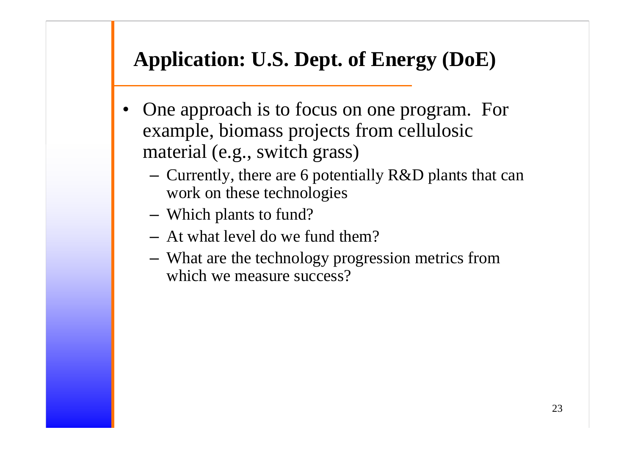## **Application: U.S. Dept. of Energy (DoE)**

- One approach is to focus on one program. For example, biomass projects from cellulosic material (e.g., switch grass)
	- Currently, there are 6 potentially R&D plants that can work on these technologies
	- Which plants to fund?
	- At what level do we fund them?
	- What are the technology progression metrics from which we measure success?